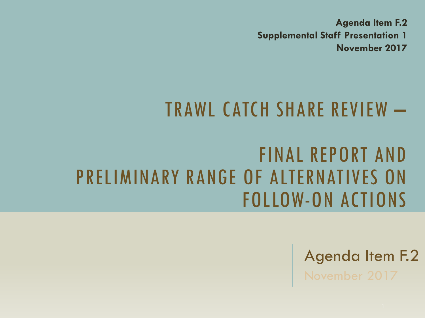**Agenda Item F.2 Supplemental Staff Presentation 1 November 2017**

### TRAWL CATCH SHARE REVIEW –

### FINAL REPORT AND PRELIMINARY RANGE OF ALTERNATIVES ON FOLLOW-ON ACTIONS

Agenda Item F.2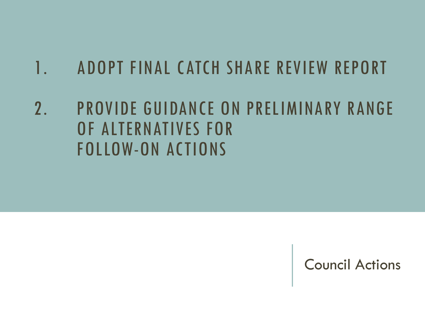### 1. ADOPT FINAL CATCH SHARE REVIEW REPORT

2. PROVIDE GUIDANCE ON PRELIMINARY RANGE OF ALTERNATIVES FOR FOLLOW-ON ACTIONS

Council Actions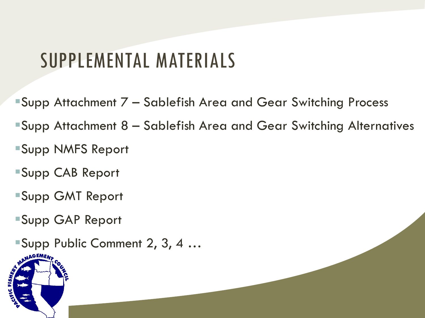### SUPPLEMENTAL MATERIALS

- Supp Attachment 7 Sablefish Area and Gear Switching Process
- Supp Attachment 8 Sablefish Area and Gear Switching Alternatives
- Supp NMFS Report
- Supp CAB Report
- Supp GMT Report
- Supp GAP Report
- ■Supp Public Comment 2, 3, 4 …

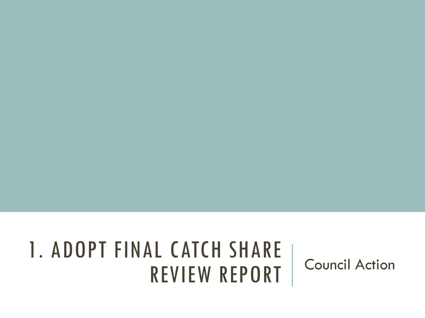# 1. ADOPT FINAL CATCH SHARE REVIEW REPORT Council Action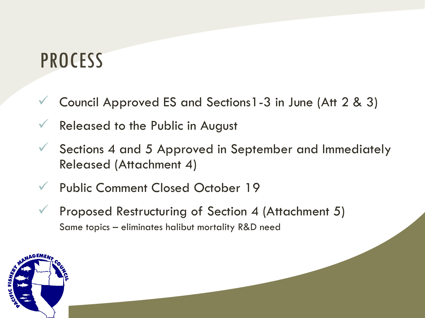### PROCESS

- Council Approved ES and Sections1-3 in June (Att 2 & 3)
- Released to the Public in August
- Sections 4 and 5 Approved in September and Immediately Released (Attachment 4)
- Public Comment Closed October 19
- Proposed Restructuring of Section 4 (Attachment 5) Same topics – eliminates halibut mortality R&D need

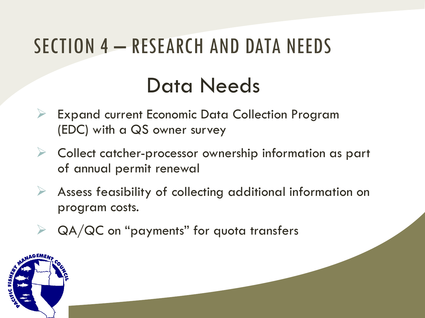# SECTION 4 – RESEARCH AND DATA NEEDS Data Needs

- Expand current Economic Data Collection Program (EDC) with a QS owner survey
- $\triangleright$  Collect catcher-processor ownership information as part of annual permit renewal
- $\triangleright$  Assess feasibility of collecting additional information on program costs.
- QA/QC on "payments" for quota transfers

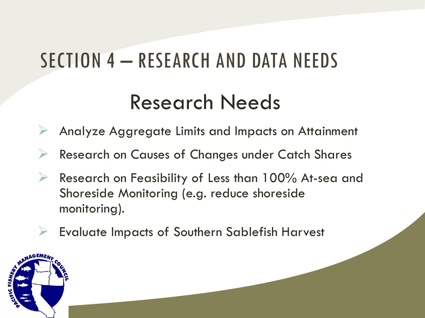# SECTION 4 – RESEARCH AND DATA NEEDS

### Research Needs

- Analyze Aggregate Limits and Impacts on Attainment
- Research on Causes of Changes under Catch Shares
- $\triangleright$  Research on Feasibility of Less than 100% At-sea and Shoreside Monitoring (e.g. reduce shoreside monitoring).
- $\triangleright$  Evaluate Impacts of Southern Sablefish Harvest

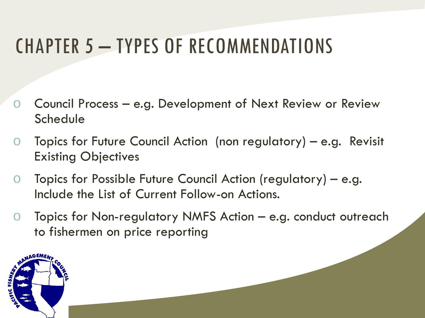## CHAPTER 5 – TYPES OF RECOMMENDATIONS

- Council Process  $-$  e.g. Development of Next Review or Review **Schedule**
- o Topics for Future Council Action (non regulatory) e.g. Revisit Existing Objectives
- o Topics for Possible Future Council Action (regulatory) e.g. Include the List of Current Follow-on Actions.
- o Topics for Non-regulatory NMFS Action e.g. conduct outreach to fishermen on price reporting

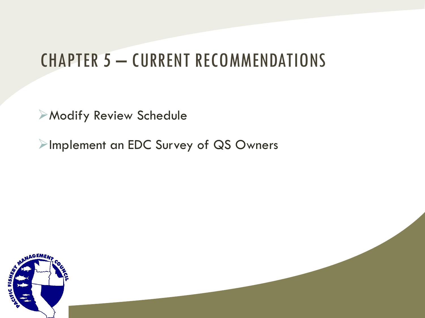### CHAPTER 5 – CURRENT RECOMMENDATIONS

Modify Review Schedule

**Implement an EDC Survey of QS Owners** 

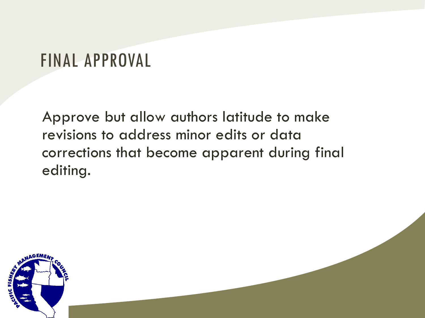### FINAL APPROVAL

Approve but allow authors latitude to make revisions to address minor edits or data corrections that become apparent during final editing.

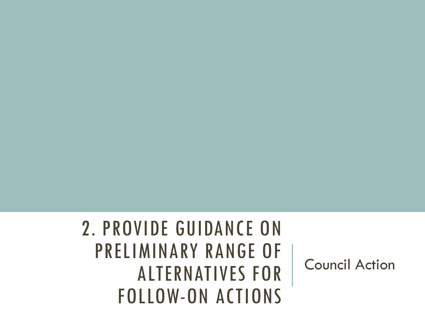### 2. PROVIDE GUIDANCE ON PRELIMINARY RANGE OF ALTERNATIVES FOR FOLLOW-ON ACTIONS

Council Action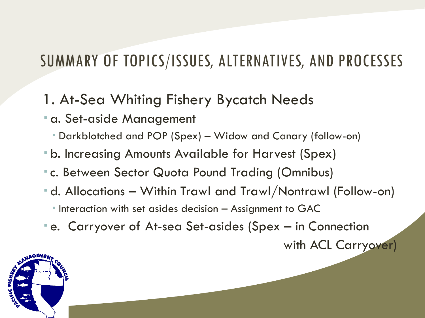#### 1. At-Sea Whiting Fishery Bycatch Needs

- **a. Set-aside Management** 
	- Darkblotched and POP (Spex) Widow and Canary (follow-on)
- b. Increasing Amounts Available for Harvest (Spex)
- c. Between Sector Quota Pound Trading (Omnibus)
- d. Allocations Within Trawl and Trawl/Nontrawl (Follow-on)
	- **Interaction with set asides decision Assignment to GAC**
- e. Carryover of At-sea Set-asides (Spex in Connection

with ACL Carryover)

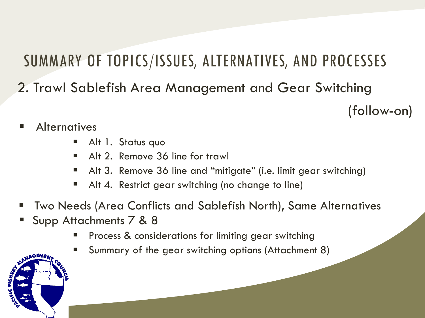2. Trawl Sablefish Area Management and Gear Switching

(follow-on)

- **Alternatives** 
	- Alt 1. Status quo
	- Alt 2. Remove 36 line for trawl
	- Alt 3. Remove 36 line and "mitigate" (i.e. limit gear switching)
	- Alt 4. Restrict gear switching (no change to line)
- Two Needs (Area Conflicts and Sablefish North), Same Alternatives
- Supp Attachments 7 & 8
	- Process & considerations for limiting gear switching
	- Summary of the gear switching options (Attachment 8)

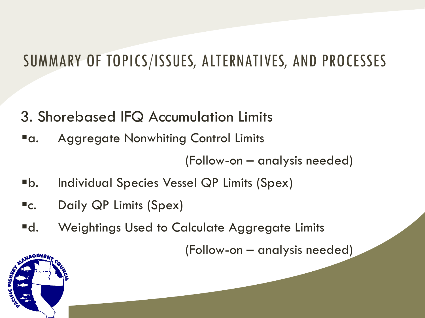- 3. Shorebased IFQ Accumulation Limits
- **"a.** Aggregate Nonwhiting Control Limits

(Follow-on – analysis needed)

- b. Individual Species Vessel QP Limits (Spex)
- **EC.** Daily QP Limits (Spex)
- **Ed.** Weightings Used to Calculate Aggregate Limits

(Follow-on – analysis needed)

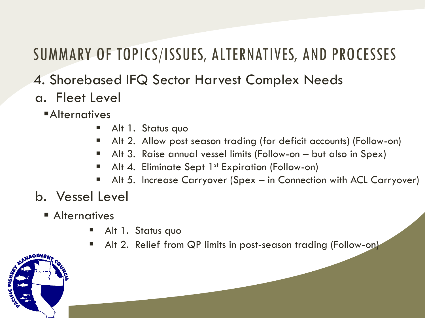#### 4. Shorebased IFQ Sector Harvest Complex Needs

#### a. Fleet Level

**Alternatives** 

- Alt 1. Status quo
- Alt 2. Allow post season trading (for deficit accounts) (Follow-on)
- Alt 3. Raise annual vessel limits (Follow-on but also in Spex)
- Alt 4. Eliminate Sept  $1^{st}$  Expiration (Follow-on)
- Alt 5. Increase Carryover (Spex in Connection with ACL Carryover)

#### b. Vessel Level

- **Alternatives** 
	- Alt 1. Status quo
	- **Alt 2. Relief from QP limits in post-season trading (Follow-on)**

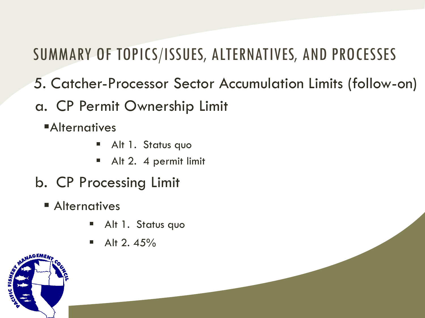- 5. Catcher-Processor Sector Accumulation Limits (follow-on)
- a. CP Permit Ownership Limit
	- **Alternatives** 
		- Alt 1. Status quo
		- Alt 2. 4 permit limit
- b. CP Processing Limit
	- **Alternatives** 
		- Alt 1. Status quo
		- $\blacksquare$  Alt 2.45%

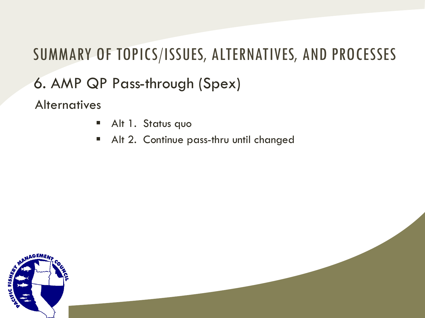### SUMMARY OF TOPICS/ISSUES, ALTERNATIVES, AND PROCESSES 6. AMP QP Pass-through (Spex) **Alternatives**

- Alt 1. Status quo
- Alt 2. Continue pass-thru until changed